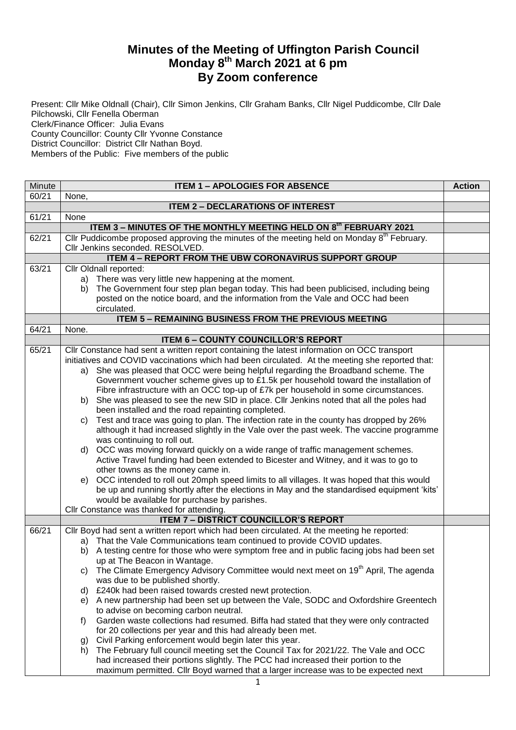## **Minutes of the Meeting of Uffington Parish Council Monday 8 th March 2021 at 6 pm By Zoom conference**

Present: Cllr Mike Oldnall (Chair), Cllr Simon Jenkins, Cllr Graham Banks, Cllr Nigel Puddicombe, Cllr Dale Pilchowski, Cllr Fenella Oberman Clerk/Finance Officer: Julia Evans County Councillor: County Cllr Yvonne Constance District Councillor: District Cllr Nathan Boyd. Members of the Public: Five members of the public

| Minute | <b>ITEM 1 - APOLOGIES FOR ABSENCE</b>                                                                                                             | <b>Action</b> |
|--------|---------------------------------------------------------------------------------------------------------------------------------------------------|---------------|
| 60/21  | None,                                                                                                                                             |               |
|        | <b>ITEM 2 - DECLARATIONS OF INTEREST</b>                                                                                                          |               |
| 61/21  | None                                                                                                                                              |               |
|        | ITEM 3 - MINUTES OF THE MONTHLY MEETING HELD ON 8th FEBRUARY 2021                                                                                 |               |
| 62/21  | Cllr Puddicombe proposed approving the minutes of the meeting held on Monday 8 <sup>th</sup> February.                                            |               |
|        | Cllr Jenkins seconded. RESOLVED.                                                                                                                  |               |
|        | <b>ITEM 4 - REPORT FROM THE UBW CORONAVIRUS SUPPORT GROUP</b>                                                                                     |               |
| 63/21  | Cllr Oldnall reported:                                                                                                                            |               |
|        | a) There was very little new happening at the moment.                                                                                             |               |
|        | The Government four step plan began today. This had been publicised, including being<br>b)                                                        |               |
|        | posted on the notice board, and the information from the Vale and OCC had been                                                                    |               |
|        | circulated.                                                                                                                                       |               |
|        | <b>ITEM 5 - REMAINING BUSINESS FROM THE PREVIOUS MEETING</b>                                                                                      |               |
| 64/21  | None.                                                                                                                                             |               |
|        | <b>ITEM 6 - COUNTY COUNCILLOR'S REPORT</b>                                                                                                        |               |
| 65/21  | Cllr Constance had sent a written report containing the latest information on OCC transport                                                       |               |
|        | initiatives and COVID vaccinations which had been circulated. At the meeting she reported that:                                                   |               |
|        | a) She was pleased that OCC were being helpful regarding the Broadband scheme. The                                                                |               |
|        | Government voucher scheme gives up to £1.5k per household toward the installation of                                                              |               |
|        | Fibre infrastructure with an OCC top-up of £7k per household in some circumstances.                                                               |               |
|        | She was pleased to see the new SID in place. Cllr Jenkins noted that all the poles had<br>b)<br>been installed and the road repainting completed. |               |
|        | Test and trace was going to plan. The infection rate in the county has dropped by 26%                                                             |               |
|        | C)<br>although it had increased slightly in the Vale over the past week. The vaccine programme                                                    |               |
|        | was continuing to roll out.                                                                                                                       |               |
|        | d) OCC was moving forward quickly on a wide range of traffic management schemes.                                                                  |               |
|        | Active Travel funding had been extended to Bicester and Witney, and it was to go to                                                               |               |
|        | other towns as the money came in.                                                                                                                 |               |
|        | e) OCC intended to roll out 20mph speed limits to all villages. It was hoped that this would                                                      |               |
|        | be up and running shortly after the elections in May and the standardised equipment 'kits'                                                        |               |
|        | would be available for purchase by parishes.                                                                                                      |               |
|        | Cllr Constance was thanked for attending.                                                                                                         |               |
|        | <b>ITEM 7 - DISTRICT COUNCILLOR'S REPORT</b>                                                                                                      |               |
| 66/21  | Cllr Boyd had sent a written report which had been circulated. At the meeting he reported:                                                        |               |
|        | a) That the Vale Communications team continued to provide COVID updates.                                                                          |               |
|        | b) A testing centre for those who were symptom free and in public facing jobs had been set                                                        |               |
|        | up at The Beacon in Wantage.                                                                                                                      |               |
|        | The Climate Emergency Advisory Committee would next meet on 19 <sup>th</sup> April, The agenda<br>C)                                              |               |
|        | was due to be published shortly.                                                                                                                  |               |
|        | d) £240k had been raised towards crested newt protection.                                                                                         |               |
|        | e) A new partnership had been set up between the Vale, SODC and Oxfordshire Greentech                                                             |               |
|        | to advise on becoming carbon neutral.                                                                                                             |               |
|        | Garden waste collections had resumed. Biffa had stated that they were only contracted<br>f)                                                       |               |
|        | for 20 collections per year and this had already been met.                                                                                        |               |
|        | Civil Parking enforcement would begin later this year.<br>g)                                                                                      |               |
|        | The February full council meeting set the Council Tax for 2021/22. The Vale and OCC<br>h)                                                         |               |
|        | had increased their portions slightly. The PCC had increased their portion to the                                                                 |               |
|        | maximum permitted. Cllr Boyd warned that a larger increase was to be expected next                                                                |               |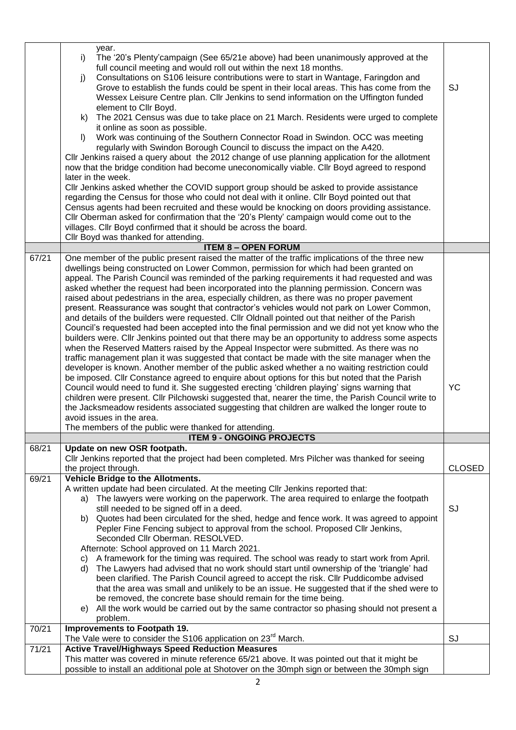|       | year.<br>The '20's Plenty' campaign (See 65/21e above) had been unanimously approved at the<br>i)<br>full council meeting and would roll out within the next 18 months.<br>Consultations on S106 leisure contributions were to start in Wantage, Faringdon and<br>j)<br>Grove to establish the funds could be spent in their local areas. This has come from the<br>Wessex Leisure Centre plan. Cllr Jenkins to send information on the Uffington funded<br>element to Cllr Boyd.<br>The 2021 Census was due to take place on 21 March. Residents were urged to complete<br>k)<br>it online as soon as possible.<br>Work was continuing of the Southern Connector Road in Swindon. OCC was meeting<br>$\mathsf{I}$<br>regularly with Swindon Borough Council to discuss the impact on the A420.<br>Cllr Jenkins raised a query about the 2012 change of use planning application for the allotment<br>now that the bridge condition had become uneconomically viable. Cllr Boyd agreed to respond<br>later in the week.<br>CIIr Jenkins asked whether the COVID support group should be asked to provide assistance<br>regarding the Census for those who could not deal with it online. Cllr Boyd pointed out that<br>Census agents had been recruited and these would be knocking on doors providing assistance.<br>Cllr Oberman asked for confirmation that the '20's Plenty' campaign would come out to the<br>villages. Cllr Boyd confirmed that it should be across the board.                                          | SJ            |
|-------|-------------------------------------------------------------------------------------------------------------------------------------------------------------------------------------------------------------------------------------------------------------------------------------------------------------------------------------------------------------------------------------------------------------------------------------------------------------------------------------------------------------------------------------------------------------------------------------------------------------------------------------------------------------------------------------------------------------------------------------------------------------------------------------------------------------------------------------------------------------------------------------------------------------------------------------------------------------------------------------------------------------------------------------------------------------------------------------------------------------------------------------------------------------------------------------------------------------------------------------------------------------------------------------------------------------------------------------------------------------------------------------------------------------------------------------------------------------------------------------------------------------------------------|---------------|
|       | Cllr Boyd was thanked for attending.                                                                                                                                                                                                                                                                                                                                                                                                                                                                                                                                                                                                                                                                                                                                                                                                                                                                                                                                                                                                                                                                                                                                                                                                                                                                                                                                                                                                                                                                                          |               |
| 67/21 | <b>ITEM 8 - OPEN FORUM</b><br>One member of the public present raised the matter of the traffic implications of the three new<br>dwellings being constructed on Lower Common, permission for which had been granted on<br>appeal. The Parish Council was reminded of the parking requirements it had requested and was<br>asked whether the request had been incorporated into the planning permission. Concern was<br>raised about pedestrians in the area, especially children, as there was no proper pavement<br>present. Reassurance was sought that contractor's vehicles would not park on Lower Common,<br>and details of the builders were requested. Cllr Oldnall pointed out that neither of the Parish<br>Council's requested had been accepted into the final permission and we did not yet know who the<br>builders were. Cllr Jenkins pointed out that there may be an opportunity to address some aspects<br>when the Reserved Matters raised by the Appeal Inspector were submitted. As there was no<br>traffic management plan it was suggested that contact be made with the site manager when the<br>developer is known. Another member of the public asked whether a no waiting restriction could<br>be imposed. Cllr Constance agreed to enquire about options for this but noted that the Parish<br>Council would need to fund it. She suggested erecting 'children playing' signs warning that<br>children were present. Cllr Pilchowski suggested that, nearer the time, the Parish Council write to | YC            |
|       | the Jacksmeadow residents associated suggesting that children are walked the longer route to                                                                                                                                                                                                                                                                                                                                                                                                                                                                                                                                                                                                                                                                                                                                                                                                                                                                                                                                                                                                                                                                                                                                                                                                                                                                                                                                                                                                                                  |               |
|       | avoid issues in the area.                                                                                                                                                                                                                                                                                                                                                                                                                                                                                                                                                                                                                                                                                                                                                                                                                                                                                                                                                                                                                                                                                                                                                                                                                                                                                                                                                                                                                                                                                                     |               |
|       | The members of the public were thanked for attending.<br><b>ITEM 9 - ONGOING PROJECTS</b>                                                                                                                                                                                                                                                                                                                                                                                                                                                                                                                                                                                                                                                                                                                                                                                                                                                                                                                                                                                                                                                                                                                                                                                                                                                                                                                                                                                                                                     |               |
| 68/21 | Update on new OSR footpath.                                                                                                                                                                                                                                                                                                                                                                                                                                                                                                                                                                                                                                                                                                                                                                                                                                                                                                                                                                                                                                                                                                                                                                                                                                                                                                                                                                                                                                                                                                   |               |
|       | Cllr Jenkins reported that the project had been completed. Mrs Pilcher was thanked for seeing<br>the project through.                                                                                                                                                                                                                                                                                                                                                                                                                                                                                                                                                                                                                                                                                                                                                                                                                                                                                                                                                                                                                                                                                                                                                                                                                                                                                                                                                                                                         | <b>CLOSED</b> |
| 69/21 | Vehicle Bridge to the Allotments.<br>A written update had been circulated. At the meeting Cllr Jenkins reported that:<br>a) The lawyers were working on the paperwork. The area required to enlarge the footpath<br>still needed to be signed off in a deed.<br>b) Quotes had been circulated for the shed, hedge and fence work. It was agreed to appoint<br>Pepler Fine Fencing subject to approval from the school. Proposed Cllr Jenkins,<br>Seconded Cllr Oberman. RESOLVED.<br>Afternote: School approved on 11 March 2021.                                                                                                                                                                                                                                                                                                                                                                                                                                                                                                                                                                                                                                                                                                                                                                                                                                                                                                                                                                                             | SJ            |
|       | c) A framework for the timing was required. The school was ready to start work from April.<br>The Lawyers had advised that no work should start until ownership of the 'triangle' had<br>d)<br>been clarified. The Parish Council agreed to accept the risk. Cllr Puddicombe advised<br>that the area was small and unlikely to be an issue. He suggested that if the shed were to<br>be removed, the concrete base should remain for the time being.<br>All the work would be carried out by the same contractor so phasing should not present a<br>e)<br>problem.                                                                                                                                                                                                                                                                                                                                                                                                                                                                                                                                                                                                                                                                                                                                                                                                                                                                                                                                                           |               |
| 70/21 | Improvements to Footpath 19.                                                                                                                                                                                                                                                                                                                                                                                                                                                                                                                                                                                                                                                                                                                                                                                                                                                                                                                                                                                                                                                                                                                                                                                                                                                                                                                                                                                                                                                                                                  |               |
|       | The Vale were to consider the S106 application on 23 <sup>rd</sup> March.                                                                                                                                                                                                                                                                                                                                                                                                                                                                                                                                                                                                                                                                                                                                                                                                                                                                                                                                                                                                                                                                                                                                                                                                                                                                                                                                                                                                                                                     | SJ            |
| 71/21 | <b>Active Travel/Highways Speed Reduction Measures</b><br>This matter was covered in minute reference 65/21 above. It was pointed out that it might be                                                                                                                                                                                                                                                                                                                                                                                                                                                                                                                                                                                                                                                                                                                                                                                                                                                                                                                                                                                                                                                                                                                                                                                                                                                                                                                                                                        |               |
|       | possible to install an additional pole at Shotover on the 30mph sign or between the 30mph sign                                                                                                                                                                                                                                                                                                                                                                                                                                                                                                                                                                                                                                                                                                                                                                                                                                                                                                                                                                                                                                                                                                                                                                                                                                                                                                                                                                                                                                |               |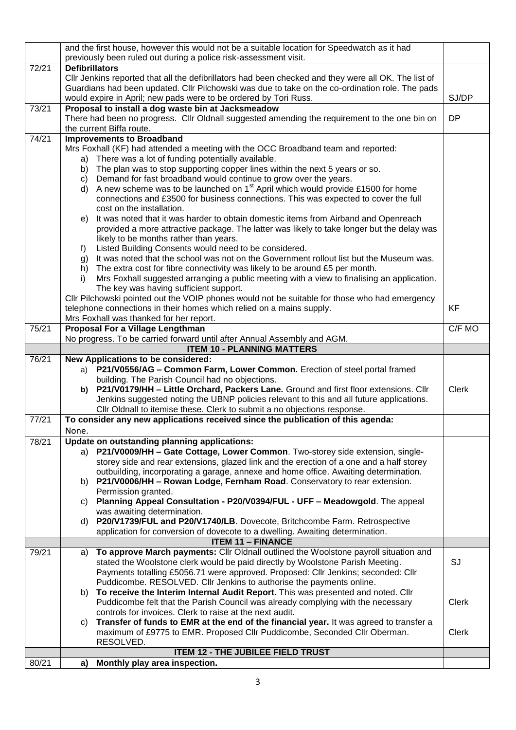|       | and the first house, however this would not be a suitable location for Speedwatch as it had                                                                          |              |
|-------|----------------------------------------------------------------------------------------------------------------------------------------------------------------------|--------------|
|       | previously been ruled out during a police risk-assessment visit.                                                                                                     |              |
| 72/21 | <b>Defibrillators</b>                                                                                                                                                |              |
|       | CIIr Jenkins reported that all the defibrillators had been checked and they were all OK. The list of                                                                 |              |
|       | Guardians had been updated. Cllr Pilchowski was due to take on the co-ordination role. The pads                                                                      |              |
|       | would expire in April; new pads were to be ordered by Tori Russ.                                                                                                     | SJ/DP        |
| 73/21 | Proposal to install a dog waste bin at Jacksmeadow                                                                                                                   |              |
|       | There had been no progress. Cllr Oldnall suggested amending the requirement to the one bin on                                                                        | <b>DP</b>    |
|       | the current Biffa route.                                                                                                                                             |              |
| 74/21 | <b>Improvements to Broadband</b>                                                                                                                                     |              |
|       | Mrs Foxhall (KF) had attended a meeting with the OCC Broadband team and reported:                                                                                    |              |
|       | There was a lot of funding potentially available.<br>a)                                                                                                              |              |
|       | b) The plan was to stop supporting copper lines within the next 5 years or so.                                                                                       |              |
|       | Demand for fast broadband would continue to grow over the years.<br>C)                                                                                               |              |
|       | d) A new scheme was to be launched on $1st$ April which would provide £1500 for home                                                                                 |              |
|       | connections and £3500 for business connections. This was expected to cover the full                                                                                  |              |
|       | cost on the installation.                                                                                                                                            |              |
|       | It was noted that it was harder to obtain domestic items from Airband and Openreach<br>e)                                                                            |              |
|       | provided a more attractive package. The latter was likely to take longer but the delay was                                                                           |              |
|       | likely to be months rather than years.                                                                                                                               |              |
|       | Listed Building Consents would need to be considered.<br>$f$ )                                                                                                       |              |
|       | It was noted that the school was not on the Government rollout list but the Museum was.<br>g)                                                                        |              |
|       | The extra cost for fibre connectivity was likely to be around £5 per month.<br>h)                                                                                    |              |
|       | Mrs Foxhall suggested arranging a public meeting with a view to finalising an application.<br>i)                                                                     |              |
|       | The key was having sufficient support.                                                                                                                               |              |
|       | Cllr Pilchowski pointed out the VOIP phones would not be suitable for those who had emergency                                                                        |              |
|       | telephone connections in their homes which relied on a mains supply.                                                                                                 | <b>KF</b>    |
|       | Mrs Foxhall was thanked for her report.                                                                                                                              |              |
| 75/21 | Proposal For a Village Lengthman<br>No progress. To be carried forward until after Annual Assembly and AGM.                                                          | C/F MO       |
|       | <b>ITEM 10 - PLANNING MATTERS</b>                                                                                                                                    |              |
| 76/21 | New Applications to be considered:                                                                                                                                   |              |
|       |                                                                                                                                                                      |              |
|       |                                                                                                                                                                      |              |
|       | a) P21/V0556/AG - Common Farm, Lower Common. Erection of steel portal framed                                                                                         |              |
|       | building. The Parish Council had no objections.                                                                                                                      |              |
|       | P21/V0179/HH - Little Orchard, Packers Lane. Ground and first floor extensions. Cllr<br>b)                                                                           | Clerk        |
|       | Jenkins suggested noting the UBNP policies relevant to this and all future applications.                                                                             |              |
| 77/21 | Cllr Oldnall to itemise these. Clerk to submit a no objections response.                                                                                             |              |
|       | To consider any new applications received since the publication of this agenda:                                                                                      |              |
|       | None.                                                                                                                                                                |              |
| 78/21 | Update on outstanding planning applications:                                                                                                                         |              |
|       | a) P21/V0009/HH - Gate Cottage, Lower Common. Two-storey side extension, single-                                                                                     |              |
|       | storey side and rear extensions, glazed link and the erection of a one and a half storey                                                                             |              |
|       | outbuilding, incorporating a garage, annexe and home office. Awaiting determination.<br>b) P21/V0006/HH - Rowan Lodge, Fernham Road. Conservatory to rear extension. |              |
|       | Permission granted.                                                                                                                                                  |              |
|       | Planning Appeal Consultation - P20/V0394/FUL - UFF - Meadowgold. The appeal<br>C)                                                                                    |              |
|       | was awaiting determination.                                                                                                                                          |              |
|       | P20/V1739/FUL and P20/V1740/LB. Dovecote, Britchcombe Farm. Retrospective<br>d)                                                                                      |              |
|       | application for conversion of dovecote to a dwelling. Awaiting determination.                                                                                        |              |
|       | <b>ITEM 11 - FINANCE</b>                                                                                                                                             |              |
| 79/21 | To approve March payments: Cllr Oldnall outlined the Woolstone payroll situation and<br>a)                                                                           |              |
|       | stated the Woolstone clerk would be paid directly by Woolstone Parish Meeting.                                                                                       | SJ           |
|       | Payments totalling £5056.71 were approved. Proposed: Cllr Jenkins; seconded: Cllr                                                                                    |              |
|       | Puddicombe. RESOLVED. Cllr Jenkins to authorise the payments online.                                                                                                 |              |
|       | To receive the Interim Internal Audit Report. This was presented and noted. Cllr<br>b)                                                                               |              |
|       | Puddicombe felt that the Parish Council was already complying with the necessary                                                                                     | <b>Clerk</b> |
|       | controls for invoices. Clerk to raise at the next audit.                                                                                                             |              |
|       | Transfer of funds to EMR at the end of the financial year. It was agreed to transfer a<br>C)                                                                         |              |
|       | maximum of £9775 to EMR. Proposed Cllr Puddicombe, Seconded Cllr Oberman.                                                                                            | <b>Clerk</b> |
|       | RESOLVED.                                                                                                                                                            |              |
| 80/21 | <b>ITEM 12 - THE JUBILEE FIELD TRUST</b><br>a) Monthly play area inspection.                                                                                         |              |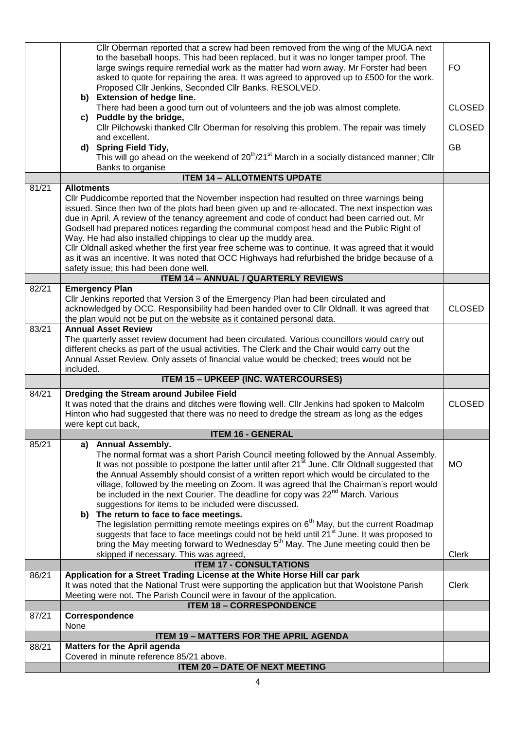|       | Cllr Oberman reported that a screw had been removed from the wing of the MUGA next<br>to the baseball hoops. This had been replaced, but it was no longer tamper proof. The<br>large swings require remedial work as the matter had worn away. Mr Forster had been<br>asked to quote for repairing the area. It was agreed to approved up to £500 for the work.<br>Proposed Cllr Jenkins, Seconded Cllr Banks. RESOLVED.                                                                                                                                                                                                                                                                                        | FO.           |
|-------|-----------------------------------------------------------------------------------------------------------------------------------------------------------------------------------------------------------------------------------------------------------------------------------------------------------------------------------------------------------------------------------------------------------------------------------------------------------------------------------------------------------------------------------------------------------------------------------------------------------------------------------------------------------------------------------------------------------------|---------------|
|       | b) Extension of hedge line.<br>There had been a good turn out of volunteers and the job was almost complete.<br>c) Puddle by the bridge,                                                                                                                                                                                                                                                                                                                                                                                                                                                                                                                                                                        | <b>CLOSED</b> |
|       | Cllr Pilchowski thanked Cllr Oberman for resolving this problem. The repair was timely<br>and excellent.                                                                                                                                                                                                                                                                                                                                                                                                                                                                                                                                                                                                        | <b>CLOSED</b> |
|       | d) Spring Field Tidy,<br>This will go ahead on the weekend of 20 <sup>th</sup> /21 <sup>st</sup> March in a socially distanced manner; Cllr                                                                                                                                                                                                                                                                                                                                                                                                                                                                                                                                                                     | GB            |
|       | Banks to organise                                                                                                                                                                                                                                                                                                                                                                                                                                                                                                                                                                                                                                                                                               |               |
| 81/21 | <b>ITEM 14 - ALLOTMENTS UPDATE</b><br><b>Allotments</b>                                                                                                                                                                                                                                                                                                                                                                                                                                                                                                                                                                                                                                                         |               |
|       | CIIr Puddicombe reported that the November inspection had resulted on three warnings being<br>issued. Since then two of the plots had been given up and re-allocated. The next inspection was<br>due in April. A review of the tenancy agreement and code of conduct had been carried out. Mr<br>Godsell had prepared notices regarding the communal compost head and the Public Right of<br>Way. He had also installed chippings to clear up the muddy area.<br>CIIr Oldnall asked whether the first year free scheme was to continue. It was agreed that it would<br>as it was an incentive. It was noted that OCC Highways had refurbished the bridge because of a<br>safety issue; this had been done well. |               |
|       | <b>ITEM 14 - ANNUAL / QUARTERLY REVIEWS</b>                                                                                                                                                                                                                                                                                                                                                                                                                                                                                                                                                                                                                                                                     |               |
| 82/21 | <b>Emergency Plan</b><br>CIIr Jenkins reported that Version 3 of the Emergency Plan had been circulated and<br>acknowledged by OCC. Responsibility had been handed over to Cllr Oldnall. It was agreed that<br>the plan would not be put on the website as it contained personal data.                                                                                                                                                                                                                                                                                                                                                                                                                          | <b>CLOSED</b> |
| 83/21 | <b>Annual Asset Review</b><br>The quarterly asset review document had been circulated. Various councillors would carry out<br>different checks as part of the usual activities. The Clerk and the Chair would carry out the<br>Annual Asset Review. Only assets of financial value would be checked; trees would not be<br>included.                                                                                                                                                                                                                                                                                                                                                                            |               |
|       | <b>ITEM 15 - UPKEEP (INC. WATERCOURSES)</b>                                                                                                                                                                                                                                                                                                                                                                                                                                                                                                                                                                                                                                                                     |               |
| 84/21 | Dredging the Stream around Jubilee Field<br>It was noted that the drains and ditches were flowing well. Cllr Jenkins had spoken to Malcolm<br>Hinton who had suggested that there was no need to dredge the stream as long as the edges<br>were kept cut back,                                                                                                                                                                                                                                                                                                                                                                                                                                                  | <b>CLOSED</b> |
|       | <b>ITEM 16 - GENERAL</b>                                                                                                                                                                                                                                                                                                                                                                                                                                                                                                                                                                                                                                                                                        |               |
| 85/21 | <b>Annual Assembly.</b><br>a)<br>The normal format was a short Parish Council meeting followed by the Annual Assembly.<br>It was not possible to postpone the latter until after 21 <sup>st</sup> June. Cllr Oldnall suggested that<br>the Annual Assembly should consist of a written report which would be circulated to the<br>village, followed by the meeting on Zoom. It was agreed that the Chairman's report would<br>be included in the next Courier. The deadline for copy was 22 <sup>nd</sup> March. Various<br>suggestions for items to be included were discussed.<br>b) The return to face to face meetings.                                                                                     | <b>MO</b>     |
|       | The legislation permitting remote meetings expires on 6 <sup>th</sup> May, but the current Roadmap<br>suggests that face to face meetings could not be held until 21 <sup>st</sup> June. It was proposed to<br>bring the May meeting forward to Wednesday 5 <sup>th</sup> May. The June meeting could then be<br>skipped if necessary. This was agreed,                                                                                                                                                                                                                                                                                                                                                         | <b>Clerk</b>  |
|       | <b>ITEM 17 - CONSULTATIONS</b>                                                                                                                                                                                                                                                                                                                                                                                                                                                                                                                                                                                                                                                                                  |               |
| 86/21 | Application for a Street Trading License at the White Horse Hill car park<br>It was noted that the National Trust were supporting the application but that Woolstone Parish<br>Meeting were not. The Parish Council were in favour of the application.                                                                                                                                                                                                                                                                                                                                                                                                                                                          | <b>Clerk</b>  |
|       | <b>ITEM 18 - CORRESPONDENCE</b>                                                                                                                                                                                                                                                                                                                                                                                                                                                                                                                                                                                                                                                                                 |               |
| 87/21 | Correspondence<br>None                                                                                                                                                                                                                                                                                                                                                                                                                                                                                                                                                                                                                                                                                          |               |
|       | <b>ITEM 19 - MATTERS FOR THE APRIL AGENDA</b>                                                                                                                                                                                                                                                                                                                                                                                                                                                                                                                                                                                                                                                                   |               |
| 88/21 | <b>Matters for the April agenda</b><br>Covered in minute reference 85/21 above.                                                                                                                                                                                                                                                                                                                                                                                                                                                                                                                                                                                                                                 |               |
|       | <b>ITEM 20 - DATE OF NEXT MEETING</b>                                                                                                                                                                                                                                                                                                                                                                                                                                                                                                                                                                                                                                                                           |               |